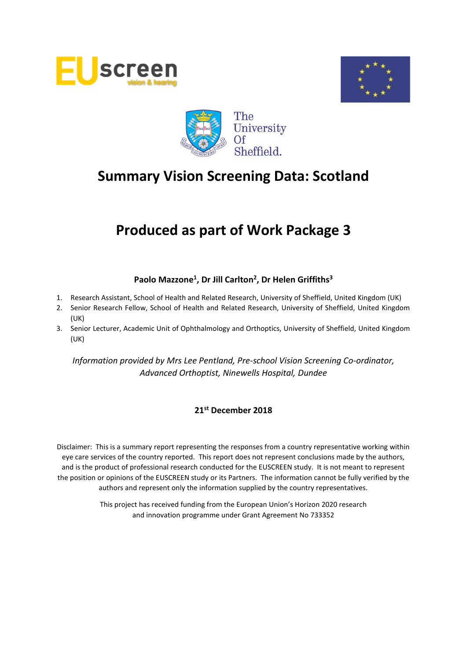





# **Produced as part of Work Package 3**

## **Paolo Mazzone<sup>1</sup> , Dr Jill Carlton<sup>2</sup> , Dr Helen Griffiths<sup>3</sup>**

- 1. Research Assistant, School of Health and Related Research, University of Sheffield, United Kingdom (UK)
- 2. Senior Research Fellow, School of Health and Related Research, University of Sheffield, United Kingdom (UK)
- 3. Senior Lecturer, Academic Unit of Ophthalmology and Orthoptics, University of Sheffield, United Kingdom (UK)

*Information provided by Mrs Lee Pentland, Pre-school Vision Screening Co-ordinator, Advanced Orthoptist, Ninewells Hospital, Dundee*

#### **21st December 2018**

Disclaimer: This is a summary report representing the responses from a country representative working within eye care services of the country reported. This report does not represent conclusions made by the authors, and is the product of professional research conducted for the EUSCREEN study. It is not meant to represent the position or opinions of the EUSCREEN study or its Partners. The information cannot be fully verified by the authors and represent only the information supplied by the country representatives.

> This project has received funding from the European Union's Horizon 2020 research and innovation programme under Grant Agreement No 733352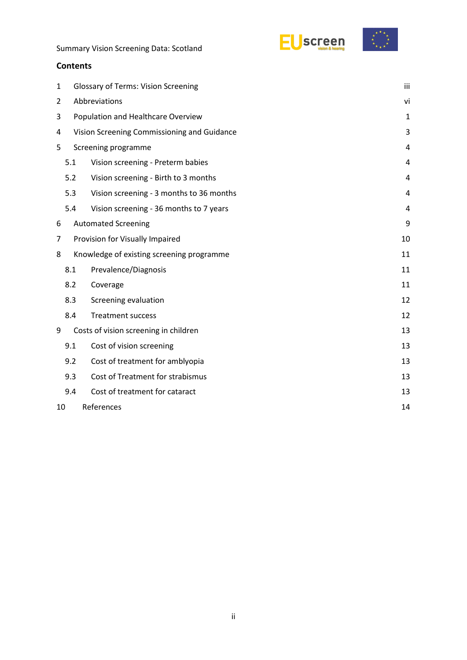



#### **Contents**

| 1                |                                             | <b>Glossary of Terms: Vision Screening</b> |    |  |  |  |  |
|------------------|---------------------------------------------|--------------------------------------------|----|--|--|--|--|
| $\overline{2}$   |                                             | Abbreviations                              |    |  |  |  |  |
| 3                | Population and Healthcare Overview          |                                            |    |  |  |  |  |
| 4                | Vision Screening Commissioning and Guidance |                                            |    |  |  |  |  |
| 5                |                                             | Screening programme                        | 4  |  |  |  |  |
|                  | 5.1                                         | Vision screening - Preterm babies          |    |  |  |  |  |
|                  | 5.2                                         | Vision screening - Birth to 3 months       | 4  |  |  |  |  |
|                  | 5.3                                         | Vision screening - 3 months to 36 months   | 4  |  |  |  |  |
|                  | 5.4                                         | Vision screening - 36 months to 7 years    | 4  |  |  |  |  |
| 6                |                                             | <b>Automated Screening</b>                 | 9  |  |  |  |  |
| 7                | Provision for Visually Impaired             |                                            |    |  |  |  |  |
| 8                |                                             | Knowledge of existing screening programme  | 11 |  |  |  |  |
|                  | 8.1                                         | Prevalence/Diagnosis                       | 11 |  |  |  |  |
|                  | 8.2                                         | Coverage                                   | 11 |  |  |  |  |
|                  | 8.3                                         | Screening evaluation                       | 12 |  |  |  |  |
|                  | 8.4                                         | <b>Treatment success</b>                   | 12 |  |  |  |  |
| 9                |                                             | Costs of vision screening in children      | 13 |  |  |  |  |
|                  | 9.1                                         | Cost of vision screening                   | 13 |  |  |  |  |
|                  | 9.2                                         | Cost of treatment for amblyopia            | 13 |  |  |  |  |
|                  | 9.3                                         | Cost of Treatment for strabismus           | 13 |  |  |  |  |
|                  | 9.4                                         | Cost of treatment for cataract             | 13 |  |  |  |  |
| References<br>10 |                                             |                                            |    |  |  |  |  |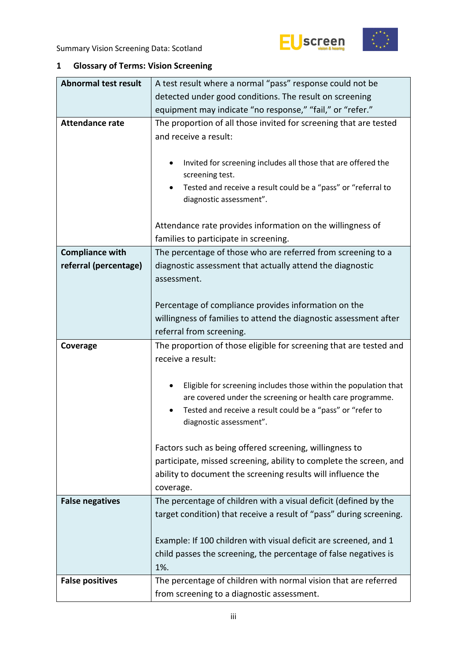



## <span id="page-2-0"></span>**1 Glossary of Terms: Vision Screening**

| <b>Abnormal test result</b> | A test result where a normal "pass" response could not be                                                                                                                                                                   |  |  |  |  |  |
|-----------------------------|-----------------------------------------------------------------------------------------------------------------------------------------------------------------------------------------------------------------------------|--|--|--|--|--|
|                             | detected under good conditions. The result on screening                                                                                                                                                                     |  |  |  |  |  |
|                             | equipment may indicate "no response," "fail," or "refer."                                                                                                                                                                   |  |  |  |  |  |
| <b>Attendance rate</b>      | The proportion of all those invited for screening that are tested<br>and receive a result:                                                                                                                                  |  |  |  |  |  |
|                             | Invited for screening includes all those that are offered the<br>screening test.<br>Tested and receive a result could be a "pass" or "referral to<br>diagnostic assessment".                                                |  |  |  |  |  |
|                             | Attendance rate provides information on the willingness of<br>families to participate in screening.                                                                                                                         |  |  |  |  |  |
| <b>Compliance with</b>      | The percentage of those who are referred from screening to a                                                                                                                                                                |  |  |  |  |  |
| referral (percentage)       | diagnostic assessment that actually attend the diagnostic<br>assessment.                                                                                                                                                    |  |  |  |  |  |
|                             | Percentage of compliance provides information on the<br>willingness of families to attend the diagnostic assessment after<br>referral from screening.                                                                       |  |  |  |  |  |
| Coverage                    | The proportion of those eligible for screening that are tested and<br>receive a result:                                                                                                                                     |  |  |  |  |  |
|                             | Eligible for screening includes those within the population that<br>٠<br>are covered under the screening or health care programme.<br>Tested and receive a result could be a "pass" or "refer to<br>diagnostic assessment". |  |  |  |  |  |
|                             | Factors such as being offered screening, willingness to<br>participate, missed screening, ability to complete the screen, and<br>ability to document the screening results will influence the<br>coverage.                  |  |  |  |  |  |
| <b>False negatives</b>      | The percentage of children with a visual deficit (defined by the<br>target condition) that receive a result of "pass" during screening.                                                                                     |  |  |  |  |  |
|                             | Example: If 100 children with visual deficit are screened, and 1<br>child passes the screening, the percentage of false negatives is<br>1%.                                                                                 |  |  |  |  |  |
| <b>False positives</b>      | The percentage of children with normal vision that are referred                                                                                                                                                             |  |  |  |  |  |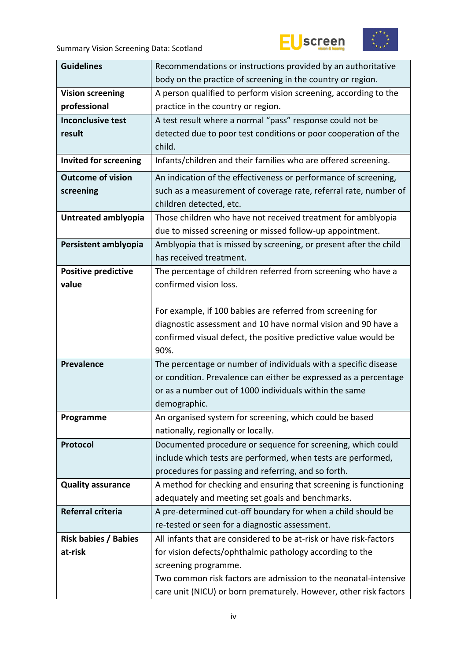



| <b>Guidelines</b>            | Recommendations or instructions provided by an authoritative       |  |  |  |  |  |
|------------------------------|--------------------------------------------------------------------|--|--|--|--|--|
|                              | body on the practice of screening in the country or region.        |  |  |  |  |  |
| <b>Vision screening</b>      | A person qualified to perform vision screening, according to the   |  |  |  |  |  |
| professional                 | practice in the country or region.                                 |  |  |  |  |  |
| <b>Inconclusive test</b>     | A test result where a normal "pass" response could not be          |  |  |  |  |  |
| result                       | detected due to poor test conditions or poor cooperation of the    |  |  |  |  |  |
|                              | child.                                                             |  |  |  |  |  |
| <b>Invited for screening</b> | Infants/children and their families who are offered screening.     |  |  |  |  |  |
| <b>Outcome of vision</b>     | An indication of the effectiveness or performance of screening,    |  |  |  |  |  |
| screening                    | such as a measurement of coverage rate, referral rate, number of   |  |  |  |  |  |
|                              | children detected, etc.                                            |  |  |  |  |  |
| Untreated amblyopia          | Those children who have not received treatment for amblyopia       |  |  |  |  |  |
|                              | due to missed screening or missed follow-up appointment.           |  |  |  |  |  |
| Persistent amblyopia         | Amblyopia that is missed by screening, or present after the child  |  |  |  |  |  |
|                              | has received treatment.                                            |  |  |  |  |  |
| <b>Positive predictive</b>   | The percentage of children referred from screening who have a      |  |  |  |  |  |
| value                        | confirmed vision loss.                                             |  |  |  |  |  |
|                              |                                                                    |  |  |  |  |  |
|                              | For example, if 100 babies are referred from screening for         |  |  |  |  |  |
|                              | diagnostic assessment and 10 have normal vision and 90 have a      |  |  |  |  |  |
|                              | confirmed visual defect, the positive predictive value would be    |  |  |  |  |  |
|                              | 90%.                                                               |  |  |  |  |  |
| <b>Prevalence</b>            | The percentage or number of individuals with a specific disease    |  |  |  |  |  |
|                              | or condition. Prevalence can either be expressed as a percentage   |  |  |  |  |  |
|                              | or as a number out of 1000 individuals within the same             |  |  |  |  |  |
|                              | demographic.                                                       |  |  |  |  |  |
| Programme                    | An organised system for screening, which could be based            |  |  |  |  |  |
|                              | nationally, regionally or locally.                                 |  |  |  |  |  |
| Protocol                     | Documented procedure or sequence for screening, which could        |  |  |  |  |  |
|                              | include which tests are performed, when tests are performed,       |  |  |  |  |  |
|                              | procedures for passing and referring, and so forth.                |  |  |  |  |  |
| <b>Quality assurance</b>     | A method for checking and ensuring that screening is functioning   |  |  |  |  |  |
|                              | adequately and meeting set goals and benchmarks.                   |  |  |  |  |  |
| Referral criteria            | A pre-determined cut-off boundary for when a child should be       |  |  |  |  |  |
|                              | re-tested or seen for a diagnostic assessment.                     |  |  |  |  |  |
| <b>Risk babies / Babies</b>  | All infants that are considered to be at-risk or have risk-factors |  |  |  |  |  |
| at-risk                      | for vision defects/ophthalmic pathology according to the           |  |  |  |  |  |
|                              | screening programme.                                               |  |  |  |  |  |
|                              | Two common risk factors are admission to the neonatal-intensive    |  |  |  |  |  |
|                              | care unit (NICU) or born prematurely. However, other risk factors  |  |  |  |  |  |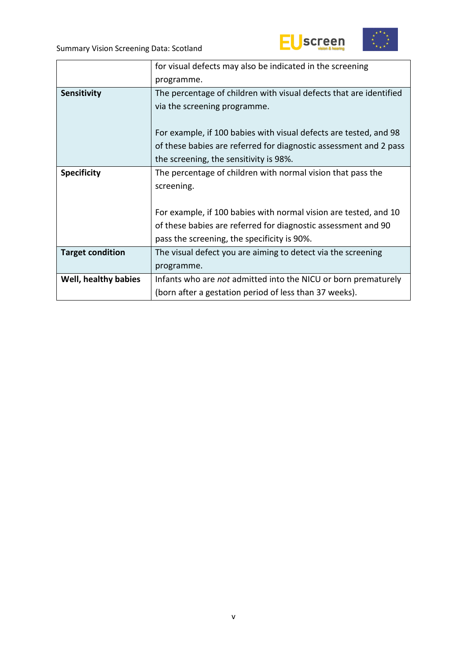





|                         | for visual defects may also be indicated in the screening          |  |  |  |  |
|-------------------------|--------------------------------------------------------------------|--|--|--|--|
|                         | programme.                                                         |  |  |  |  |
| <b>Sensitivity</b>      | The percentage of children with visual defects that are identified |  |  |  |  |
|                         | via the screening programme.                                       |  |  |  |  |
|                         |                                                                    |  |  |  |  |
|                         | For example, if 100 babies with visual defects are tested, and 98  |  |  |  |  |
|                         | of these babies are referred for diagnostic assessment and 2 pass  |  |  |  |  |
|                         | the screening, the sensitivity is 98%.                             |  |  |  |  |
| <b>Specificity</b>      | The percentage of children with normal vision that pass the        |  |  |  |  |
|                         | screening.                                                         |  |  |  |  |
|                         |                                                                    |  |  |  |  |
|                         | For example, if 100 babies with normal vision are tested, and 10   |  |  |  |  |
|                         | of these babies are referred for diagnostic assessment and 90      |  |  |  |  |
|                         | pass the screening, the specificity is 90%.                        |  |  |  |  |
| <b>Target condition</b> | The visual defect you are aiming to detect via the screening       |  |  |  |  |
|                         | programme.                                                         |  |  |  |  |
| Well, healthy babies    | Infants who are not admitted into the NICU or born prematurely     |  |  |  |  |
|                         | (born after a gestation period of less than 37 weeks).             |  |  |  |  |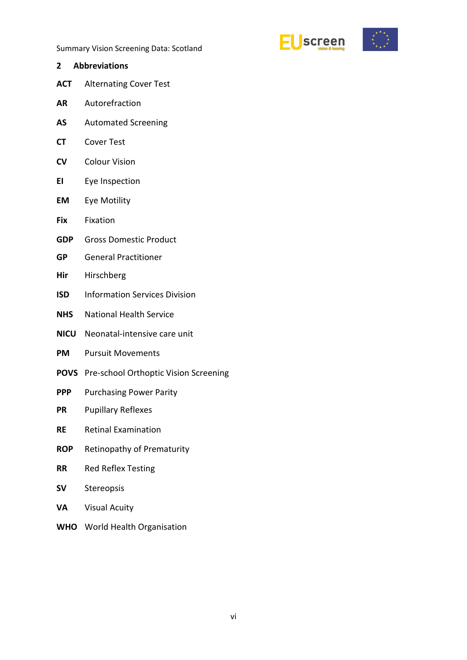

- <span id="page-5-0"></span>**2 Abbreviations ACT** Alternating Cover Test **AR** Autorefraction **AS** Automated Screening **CT** Cover Test **CV** Colour Vision **EI** Eye Inspection **EM** Eye Motility **Fix** Fixation **GDP** Gross Domestic Product **GP** General Practitioner **Hir** Hirschberg **ISD** Information Services Division **NHS** National Health Service **NICU** Neonatal-intensive care unit **PM** Pursuit Movements **POVS** Pre-school Orthoptic Vision Screening **PPP** Purchasing Power Parity **PR** Pupillary Reflexes **RE** Retinal Examination **ROP** Retinopathy of Prematurity **RR** Red Reflex Testing
- **SV** Stereopsis
- **VA** Visual Acuity
- **WHO** World Health Organisation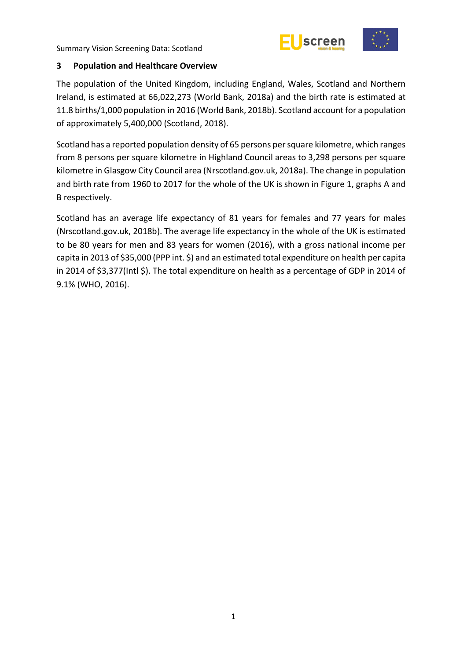



#### <span id="page-6-0"></span>**3 Population and Healthcare Overview**

The population of the United Kingdom, including England, Wales, Scotland and Northern Ireland, is estimated at 66,022,273 (World Bank, 2018a) and the birth rate is estimated at 11.8 births/1,000 population in 2016 (World Bank, 2018b). Scotland account for a population of approximately 5,400,000 (Scotland, 2018).

Scotland has a reported population density of 65 persons per square kilometre, which ranges from 8 persons per square kilometre in Highland Council areas to 3,298 persons per square kilometre in Glasgow City Council area (Nrscotland.gov.uk, 2018a). The change in population and birth rate from 1960 to 2017 for the whole of the UK is shown in Figure 1, graphs A and B respectively.

Scotland has an average life expectancy of 81 years for females and 77 years for males (Nrscotland.gov.uk, 2018b). The average life expectancy in the whole of the UK is estimated to be 80 years for men and 83 years for women (2016), with a gross national income per capita in 2013 of \$35,000 (PPP int. \$) and an estimated total expenditure on health per capita in 2014 of \$3,377(Intl \$). The total expenditure on health as a percentage of GDP in 2014 of 9.1% (WHO, 2016).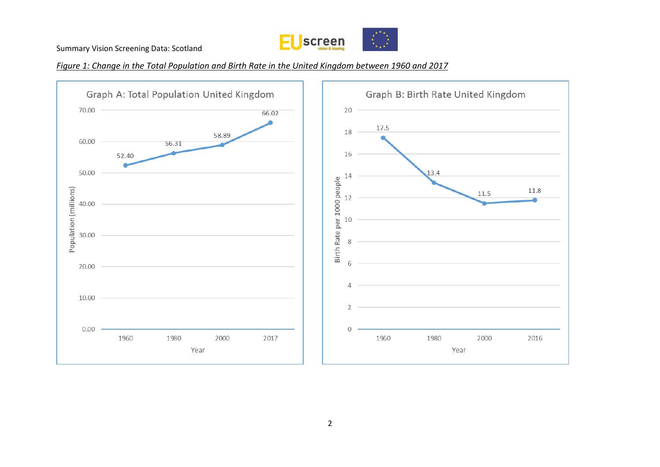

#### *Figure 1: Change in the Total Population and Birth Rate in the United Kingdom between 1960 and 2017*

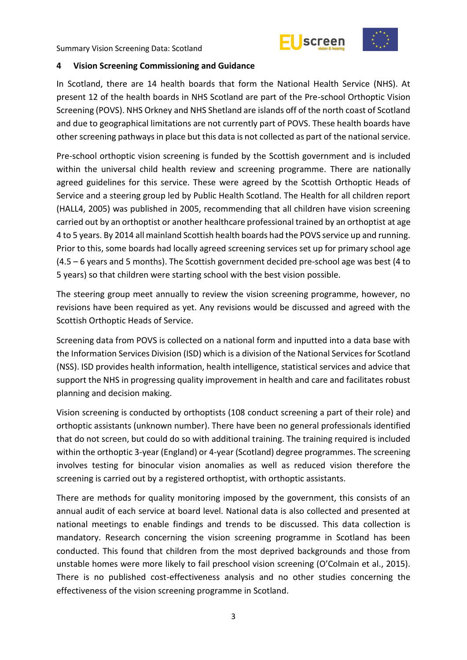



#### <span id="page-8-0"></span>**4 Vision Screening Commissioning and Guidance**

In Scotland, there are 14 health boards that form the National Health Service (NHS). At present 12 of the health boards in NHS Scotland are part of the Pre-school Orthoptic Vision Screening (POVS). NHS Orkney and NHS Shetland are islands off of the north coast of Scotland and due to geographical limitations are not currently part of POVS. These health boards have other screening pathways in place but this data is not collected as part of the national service.

Pre-school orthoptic vision screening is funded by the Scottish government and is included within the universal child health review and screening programme. There are nationally agreed guidelines for this service. These were agreed by the Scottish Orthoptic Heads of Service and a steering group led by Public Health Scotland. The Health for all children report (HALL4, 2005) was published in 2005, recommending that all children have vision screening carried out by an orthoptist or another healthcare professional trained by an orthoptist at age 4 to 5 years. By 2014 all mainland Scottish health boards had the POVS service up and running. Prior to this, some boards had locally agreed screening services set up for primary school age (4.5 – 6 years and 5 months). The Scottish government decided pre-school age was best (4 to 5 years) so that children were starting school with the best vision possible.

The steering group meet annually to review the vision screening programme, however, no revisions have been required as yet. Any revisions would be discussed and agreed with the Scottish Orthoptic Heads of Service.

Screening data from POVS is collected on a national form and inputted into a data base with the Information Services Division (ISD) which is a division of the National Services for Scotland (NSS). ISD provides health information, health intelligence, statistical services and advice that support the NHS in progressing quality improvement in health and care and facilitates robust planning and decision making.

Vision screening is conducted by orthoptists (108 conduct screening a part of their role) and orthoptic assistants (unknown number). There have been no general professionals identified that do not screen, but could do so with additional training. The training required is included within the orthoptic 3-year (England) or 4-year (Scotland) degree programmes. The screening involves testing for binocular vision anomalies as well as reduced vision therefore the screening is carried out by a registered orthoptist, with orthoptic assistants.

There are methods for quality monitoring imposed by the government, this consists of an annual audit of each service at board level. National data is also collected and presented at national meetings to enable findings and trends to be discussed. This data collection is mandatory. Research concerning the vision screening programme in Scotland has been conducted. This found that children from the most deprived backgrounds and those from unstable homes were more likely to fail preschool vision screening (O'Colmain et al., 2015). There is no published cost-effectiveness analysis and no other studies concerning the effectiveness of the vision screening programme in Scotland.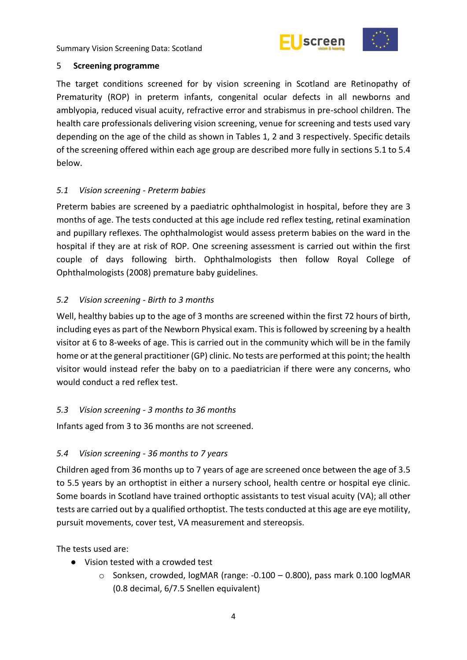



#### <span id="page-9-0"></span>5 **Screening programme**

The target conditions screened for by vision screening in Scotland are Retinopathy of Prematurity (ROP) in preterm infants, congenital ocular defects in all newborns and amblyopia, reduced visual acuity, refractive error and strabismus in pre-school children. The health care professionals delivering vision screening, venue for screening and tests used vary depending on the age of the child as shown in Tables 1, 2 and 3 respectively. Specific details of the screening offered within each age group are described more fully in sections 5.1 to 5.4 below.

#### <span id="page-9-1"></span>*5.1 Vision screening - Preterm babies*

Preterm babies are screened by a paediatric ophthalmologist in hospital, before they are 3 months of age. The tests conducted at this age include red reflex testing, retinal examination and pupillary reflexes. The ophthalmologist would assess preterm babies on the ward in the hospital if they are at risk of ROP. One screening assessment is carried out within the first couple of days following birth. Ophthalmologists then follow Royal College of Ophthalmologists (2008) premature baby guidelines.

### <span id="page-9-2"></span>*5.2 Vision screening - Birth to 3 months*

Well, healthy babies up to the age of 3 months are screened within the first 72 hours of birth, including eyes as part of the Newborn Physical exam. This is followed by screening by a health visitor at 6 to 8-weeks of age. This is carried out in the community which will be in the family home or at the general practitioner (GP) clinic. No tests are performed at this point; the health visitor would instead refer the baby on to a paediatrician if there were any concerns, who would conduct a red reflex test.

#### <span id="page-9-3"></span>*5.3 Vision screening - 3 months to 36 months*

Infants aged from 3 to 36 months are not screened.

#### <span id="page-9-4"></span>*5.4 Vision screening - 36 months to 7 years*

Children aged from 36 months up to 7 years of age are screened once between the age of 3.5 to 5.5 years by an orthoptist in either a nursery school, health centre or hospital eye clinic. Some boards in Scotland have trained orthoptic assistants to test visual acuity (VA); all other tests are carried out by a qualified orthoptist. The tests conducted at this age are eye motility, pursuit movements, cover test, VA measurement and stereopsis.

The tests used are:

- Vision tested with a crowded test
	- $\circ$  Sonksen, crowded, logMAR (range: -0.100 0.800), pass mark 0.100 logMAR (0.8 decimal, 6/7.5 Snellen equivalent)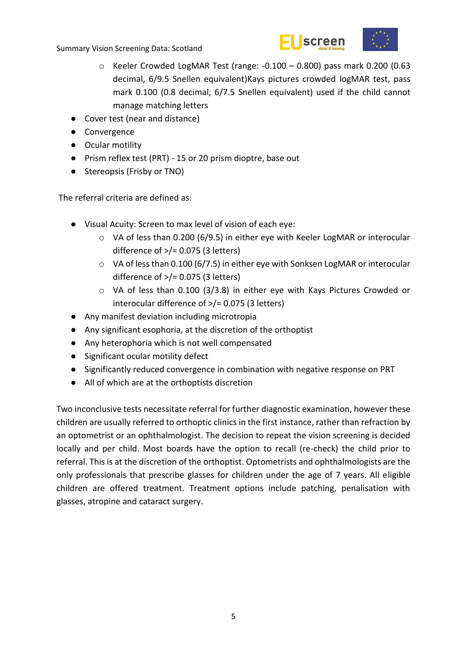



- o Keeler Crowded LogMAR Test (range: -0.100 0.800) pass mark 0.200 (0.63 decimal, 6/9.5 Snellen equivalent)Kays pictures crowded logMAR test, pass mark 0.100 (0.8 decimal, 6/7.5 Snellen equivalent) used if the child cannot manage matching letters
- Cover test (near and distance)
- Convergence
- Ocular motility
- Prism reflex test (PRT) 15 or 20 prism dioptre, base out
- Stereopsis (Frisby or TNO)

The referral criteria are defined as:

- Visual Acuity: Screen to max level of vision of each eye:
	- o VA of less than 0.200 (6/9.5) in either eye with Keeler LogMAR or interocular difference of  $\frac{>}{=}$  0.075 (3 letters)
	- o VA of less than 0.100 (6/7.5) in either eye with Sonksen LogMAR or interocular difference of  $\frac{>}{=}$  0.075 (3 letters)
	- o VA of less than 0.100 (3/3.8) in either eye with Kays Pictures Crowded or interocular difference of >/= 0.075 (3 letters)
- Any manifest deviation including microtropia
- Any significant esophoria, at the discretion of the orthoptist
- Any heterophoria which is not well compensated
- Significant ocular motility defect
- Significantly reduced convergence in combination with negative response on PRT
- All of which are at the orthoptists discretion

Two inconclusive tests necessitate referral for further diagnostic examination, however these children are usually referred to orthoptic clinics in the first instance, rather than refraction by an optometrist or an ophthalmologist. The decision to repeat the vision screening is decided locally and per child. Most boards have the option to recall (re-check) the child prior to referral. This is at the discretion of the orthoptist. Optometrists and ophthalmologists are the only professionals that prescribe glasses for children under the age of 7 years. All eligible children are offered treatment. Treatment options include patching, penalisation with glasses, atropine and cataract surgery.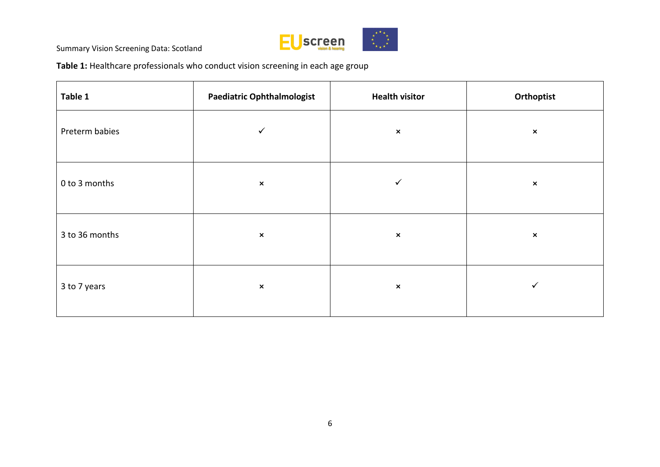

**Table 1:** Healthcare professionals who conduct vision screening in each age group

| Table 1        | <b>Paediatric Ophthalmologist</b> | <b>Health visitor</b> | Orthoptist     |
|----------------|-----------------------------------|-----------------------|----------------|
| Preterm babies | $\checkmark$                      | $\pmb{\times}$        | $\pmb{\times}$ |
| 0 to 3 months  | $\pmb{\times}$                    | $\checkmark$          | $\pmb{\times}$ |
| 3 to 36 months | $\pmb{\times}$                    | $\pmb{\times}$        | $\pmb{\times}$ |
| 3 to 7 years   | $\pmb{\times}$                    | $\pmb{\times}$        | ✓              |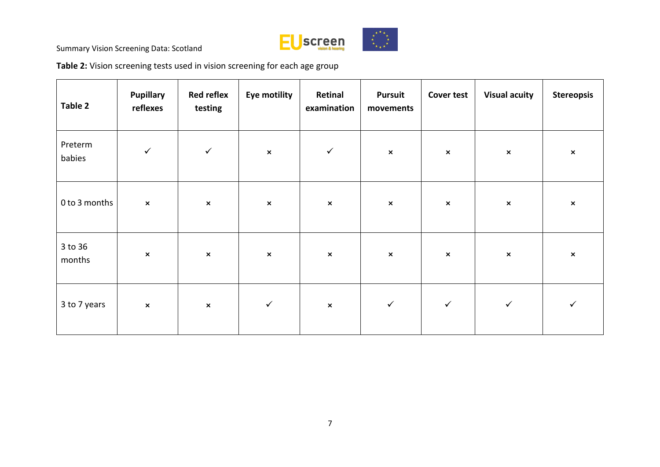

**Table 2:** Vision screening tests used in vision screening for each age group

| Table 2           | <b>Pupillary</b><br>reflexes | <b>Red reflex</b><br>testing | <b>Eye motility</b> | Retinal<br>examination | <b>Pursuit</b><br>movements | <b>Cover test</b> | <b>Visual acuity</b>      | <b>Stereopsis</b> |
|-------------------|------------------------------|------------------------------|---------------------|------------------------|-----------------------------|-------------------|---------------------------|-------------------|
| Preterm<br>babies | $\checkmark$                 | $\checkmark$                 | $\pmb{\times}$      | $\checkmark$           | $\pmb{\times}$              | $\pmb{\times}$    | $\boldsymbol{\mathsf{x}}$ | $\pmb{\times}$    |
| 0 to 3 months     | $\pmb{\times}$               | $\pmb{\times}$               | $\pmb{\times}$      | $\pmb{\times}$         | $\pmb{\times}$              | $\pmb{\times}$    | $\boldsymbol{\mathsf{x}}$ | $\pmb{\times}$    |
| 3 to 36<br>months | $\pmb{\times}$               | $\pmb{\times}$               | $\pmb{\times}$      | $\pmb{\times}$         | $\pmb{\times}$              | $\pmb{\times}$    | $\pmb{\times}$            | $\pmb{\times}$    |
| 3 to 7 years      | $\pmb{\times}$               | $\pmb{\times}$               | $\checkmark$        | $\pmb{\times}$         | $\checkmark$                | $\checkmark$      | $\checkmark$              | $\checkmark$      |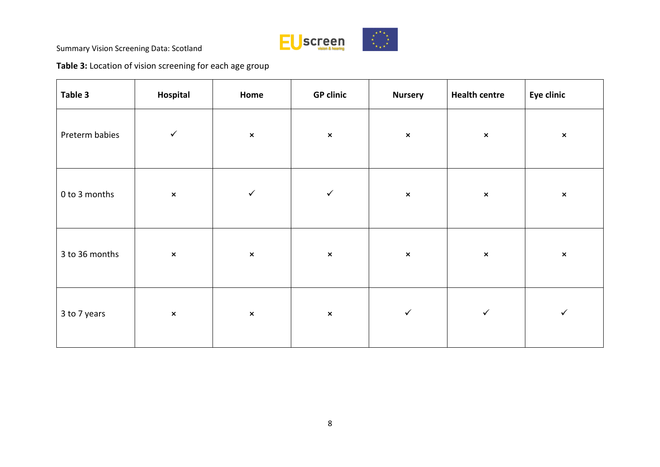

**Table 3:** Location of vision screening for each age group

| Table 3        | Hospital       | Home           | <b>GP clinic</b> | <b>Nursery</b> | <b>Health centre</b> | Eye clinic     |
|----------------|----------------|----------------|------------------|----------------|----------------------|----------------|
| Preterm babies | $\checkmark$   | $\pmb{\times}$ | $\pmb{\times}$   | $\pmb{\times}$ | $\pmb{\times}$       | $\pmb{\times}$ |
| 0 to 3 months  | $\pmb{\times}$ | $\checkmark$   | $\checkmark$     | $\pmb{\times}$ | $\pmb{\times}$       | $\pmb{\times}$ |
| 3 to 36 months | $\pmb{\times}$ | $\pmb{\times}$ | $\pmb{\times}$   | $\pmb{\times}$ | $\pmb{\times}$       | $\pmb{\times}$ |
| 3 to 7 years   | $\pmb{\times}$ | $\pmb{\times}$ | $\pmb{\times}$   | $\checkmark$   | $\checkmark$         | $\checkmark$   |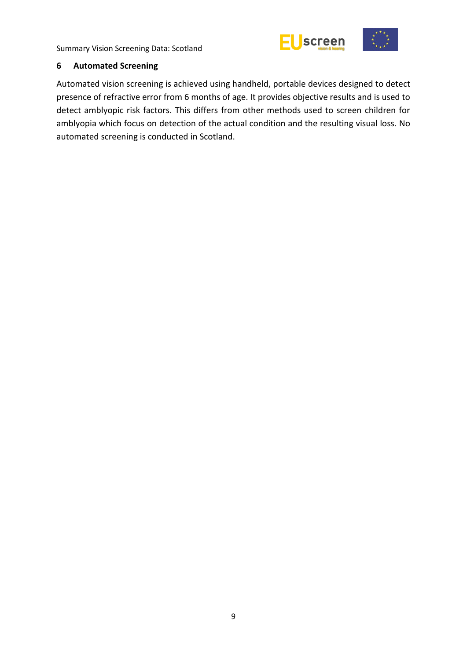



#### <span id="page-14-0"></span>**6 Automated Screening**

Automated vision screening is achieved using handheld, portable devices designed to detect presence of refractive error from 6 months of age. It provides objective results and is used to detect amblyopic risk factors. This differs from other methods used to screen children for amblyopia which focus on detection of the actual condition and the resulting visual loss. No automated screening is conducted in Scotland.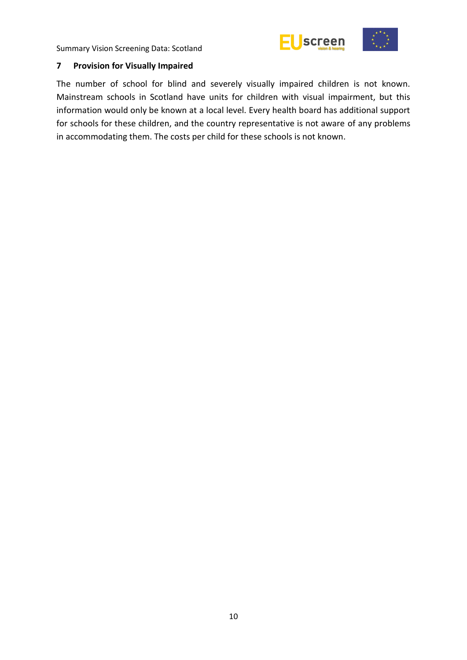



#### <span id="page-15-0"></span>**7 Provision for Visually Impaired**

The number of school for blind and severely visually impaired children is not known. Mainstream schools in Scotland have units for children with visual impairment, but this information would only be known at a local level. Every health board has additional support for schools for these children, and the country representative is not aware of any problems in accommodating them. The costs per child for these schools is not known.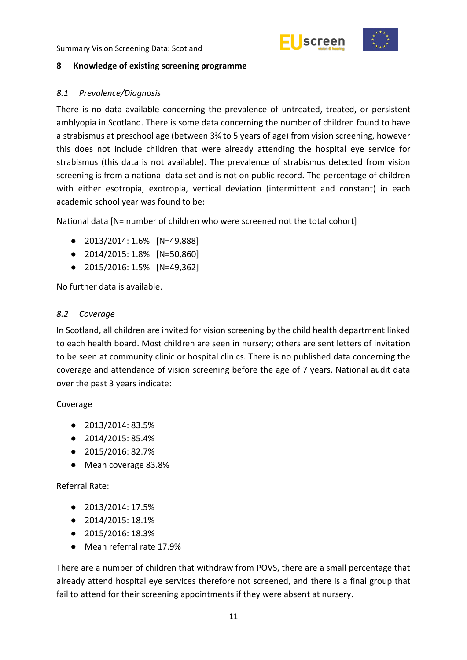



#### <span id="page-16-0"></span>**8 Knowledge of existing screening programme**

#### <span id="page-16-1"></span>*8.1 Prevalence/Diagnosis*

There is no data available concerning the prevalence of untreated, treated, or persistent amblyopia in Scotland. There is some data concerning the number of children found to have a strabismus at preschool age (between 3¾ to 5 years of age) from vision screening, however this does not include children that were already attending the hospital eye service for strabismus (this data is not available). The prevalence of strabismus detected from vision screening is from a national data set and is not on public record. The percentage of children with either esotropia, exotropia, vertical deviation (intermittent and constant) in each academic school year was found to be:

National data [N= number of children who were screened not the total cohort]

- 2013/2014: 1.6% [N=49,888]
- 2014/2015: 1.8% [N=50,860]
- 2015/2016: 1.5% [N=49,362]

No further data is available.

#### <span id="page-16-2"></span>*8.2 Coverage*

In Scotland, all children are invited for vision screening by the child health department linked to each health board. Most children are seen in nursery; others are sent letters of invitation to be seen at community clinic or hospital clinics. There is no published data concerning the coverage and attendance of vision screening before the age of 7 years. National audit data over the past 3 years indicate:

#### Coverage

- 2013/2014: 83.5%
- 2014/2015: 85.4%
- 2015/2016: 82.7%
- Mean coverage 83.8%

#### Referral Rate:

- 2013/2014: 17.5%
- 2014/2015: 18.1%
- 2015/2016: 18.3%
- Mean referral rate 17.9%

There are a number of children that withdraw from POVS, there are a small percentage that already attend hospital eye services therefore not screened, and there is a final group that fail to attend for their screening appointments if they were absent at nursery.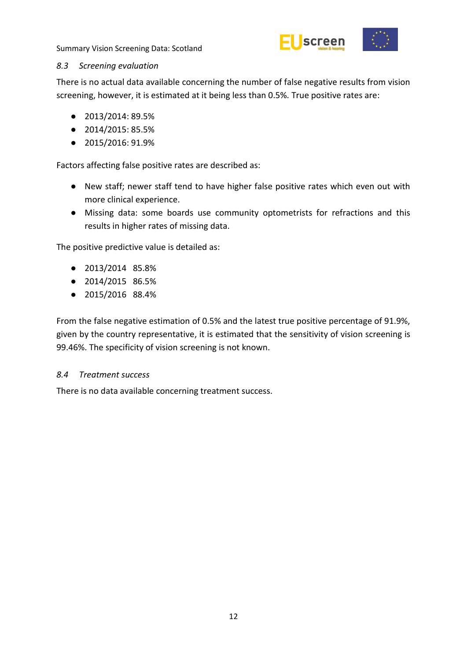

#### <span id="page-17-0"></span>*8.3 Screening evaluation*

There is no actual data available concerning the number of false negative results from vision screening, however, it is estimated at it being less than 0.5%. True positive rates are:

- 2013/2014: 89.5%
- 2014/2015: 85.5%
- 2015/2016: 91.9%

Factors affecting false positive rates are described as:

- New staff; newer staff tend to have higher false positive rates which even out with more clinical experience.
- Missing data: some boards use community optometrists for refractions and this results in higher rates of missing data.

The positive predictive value is detailed as:

- 2013/2014 85.8%
- 2014/2015 86.5%
- 2015/2016 88.4%

From the false negative estimation of 0.5% and the latest true positive percentage of 91.9%, given by the country representative, it is estimated that the sensitivity of vision screening is 99.46%. The specificity of vision screening is not known.

#### <span id="page-17-1"></span>*8.4 Treatment success*

There is no data available concerning treatment success.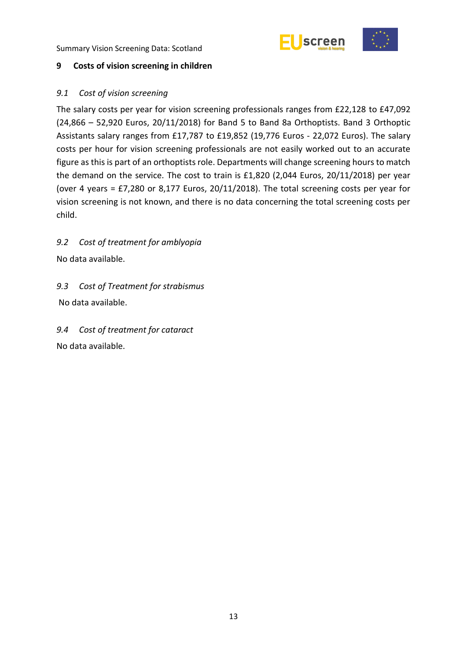



#### <span id="page-18-0"></span>**9 Costs of vision screening in children**

#### <span id="page-18-1"></span>*9.1 Cost of vision screening*

The salary costs per year for vision screening professionals ranges from £22,128 to £47,092 (24,866 – 52,920 Euros, 20/11/2018) for Band 5 to Band 8a Orthoptists. Band 3 Orthoptic Assistants salary ranges from £17,787 to £19,852 (19,776 Euros - 22,072 Euros). The salary costs per hour for vision screening professionals are not easily worked out to an accurate figure as this is part of an orthoptists role. Departments will change screening hours to match the demand on the service. The cost to train is £1,820 (2,044 Euros, 20/11/2018) per year (over 4 years = £7,280 or 8,177 Euros, 20/11/2018). The total screening costs per year for vision screening is not known, and there is no data concerning the total screening costs per child.

## <span id="page-18-2"></span>*9.2 Cost of treatment for amblyopia*

No data available.

## <span id="page-18-3"></span>*9.3 Cost of Treatment for strabismus*

No data available.

# <span id="page-18-4"></span>*9.4 Cost of treatment for cataract*

No data available.